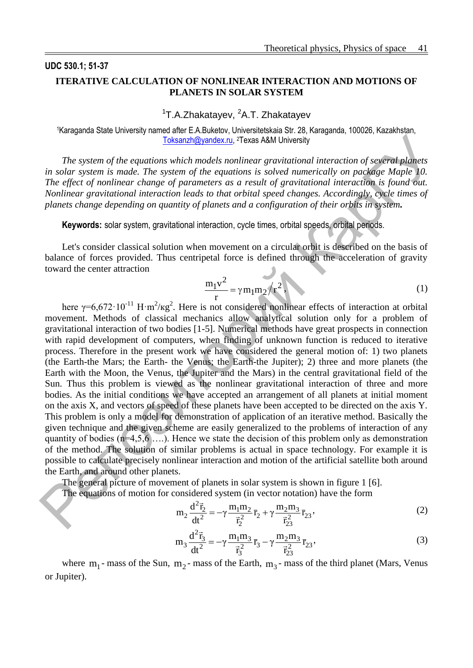## **UDC 530.1; 51-37 ITERATIVE CALCULATION OF NONLINEAR INTERACTION AND MOTIONS OF PLANETS IN SOLAR SYSTEM**

<sup>1</sup>T.A.Zhakatayev, <sup>2</sup>A.T. Zhakatayev

<sup>1</sup>Karaganda State University named after E.A.Buketov, Universitetskaia Str. 28, Karaganda, 100026, Kazakhstan, [Toksanzh@yandex.ru,](mailto:Toksanzh@yandex.ru) <sup>2</sup>Texas A&M University

*The system of the equations which models nonlinear gravitational interaction of several planets in solar system is made. The system of the equations is solved numerically on package Maple 10. The effect of nonlinear change of parameters as a result of gravitational interaction is found out. Nonlinear gravitational interaction leads to that orbital speed changes. Accordingly, cycle times of planets change depending on quantity of planets and a configuration of their orbits in system.*

**Keywords:** solar system, gravitational interaction, cycle times, orbital speeds, orbital periods.

Let's consider classical solution when movement on a circular orbit is described on the basis of balance of forces provided. Thus centripetal force is defined through the acceleration of gravity toward the center attraction

$$
\frac{m_1 v^2}{r} = \gamma m_1 m_2 / r^2,
$$
\n(1)

here  $\gamma = 6.672 \cdot 10^{-11}$  H $\cdot$ m<sup>2</sup>/kg<sup>2</sup>. Here is not considered nonlinear effects of interaction at orbital movement. Methods of classical mechanics allow analytical solution only for a problem of gravitational interaction of two bodies [1-5]. Numerical methods have great prospects in connection with rapid development of computers, when finding of unknown function is reduced to iterative process. Therefore in the present work we have considered the general motion of: 1) two planets (the Earth-the Mars; the Earth- the Venus; the Earth-the Jupiter); 2) three and more planets (the Earth with the Moon, the Venus, the Jupiter and the Mars) in the central gravitational field of the Sun. Thus this problem is viewed as the nonlinear gravitational interaction of three and more bodies. As the initial conditions we have accepted an arrangement of all planets at initial moment on the axis X, and vectors of speed of these planets have been accepted to be directed on the axis Y. This problem is only a model for demonstration of application of an iterative method. Basically the given technique and the given scheme are easily generalized to the problems of interaction of any quantity of bodies  $(n=4,5,6,...)$ . Hence we state the decision of this problem only as demonstration of the method. The solution of similar problems is actual in space technology. For example it is possible to calculate precisely nonlinear interaction and motion of the artificial satellite both around the Earth, and around other planets. The system of the gradient). These skall University<br>
The system of the gradient particular instead and interaction of several planets<br>
in solar system is made. The system of the equations is solved numerically on package

The general picture of movement of planets in solar system is shown in figure 1 [6].

The equations of motion for considered system (in vector notation) have the form  $\overline{\phantom{a}}$ 

$$
m_2 \frac{d^2 \vec{r}_2}{dt^2} = -\gamma \frac{m_1 m_2}{\vec{r}_2^2} \vec{r}_2 + \gamma \frac{m_2 m_3}{\vec{r}_2^2} \vec{r}_2
$$
 (2)

$$
m_3 \frac{d^2 \vec{r}_3}{dt^2} = -\gamma \frac{m_1 m_3}{\vec{r}_3^2} \vec{r}_3 - \gamma \frac{m_2 m_3}{\vec{r}_2^2} \vec{r}_2,
$$
 (3)

where  $m_1$ - mass of the Sun,  $m_2$ - mass of the Earth,  $m_3$ - mass of the third planet (Mars, Venus or Jupiter).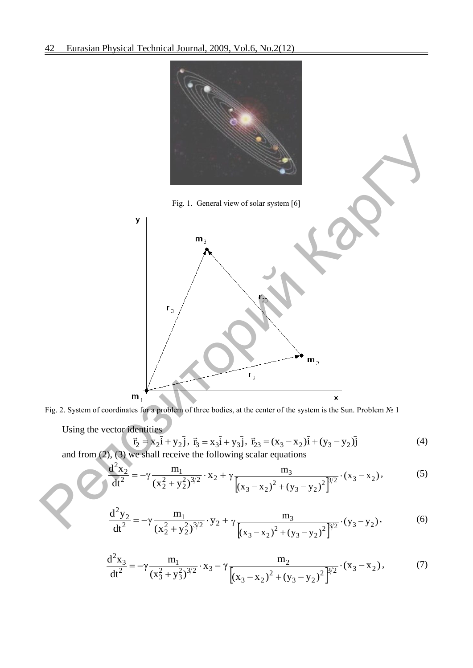

Fig. 2. System of coordinates for a problem of three bodies, at the center of the system is the Sun. Problem № 1

Using the vector identities

$$
\vec{r}_2 = x_2 \vec{i} + y_2 \vec{j}, \ \vec{r}_3 = x_3 \vec{i} + y_3 \vec{j}, \ \vec{r}_{23} = (x_3 - x_2)\vec{i} + (y_3 - y_2)\vec{j}
$$
\n
$$
\text{We shall receive the following scalar equations} \tag{4}
$$

and from (2), (3) we shall receive the following scalar equations

$$
\frac{d^2x_2}{dt^2} = -\gamma \frac{m_1}{(x_2^2 + y_2^2)^{3/2}} \cdot x_2 + \gamma \frac{m_3}{[(x_3 - x_2)^2 + (y_3 - y_2)^2]^{3/2}} \cdot (x_3 - x_2),
$$
 (5)

$$
\frac{d^2 y_2}{dt^2} = -\gamma \frac{m_1}{(x_2^2 + y_2^2)^{3/2}} \cdot y_2 + \gamma \frac{m_3}{[(x_3 - x_2)^2 + (y_3 - y_2)^2]^{3/2}} \cdot (y_3 - y_2),
$$
(6)

$$
\frac{d^2x_3}{dt^2} = -\gamma \frac{m_1}{(x_3^2 + y_3^2)^{3/2}} \cdot x_3 - \gamma \frac{m_2}{[(x_3 - x_2)^2 + (y_3 - y_2)^2]^{3/2}} \cdot (x_3 - x_2),
$$
 (7)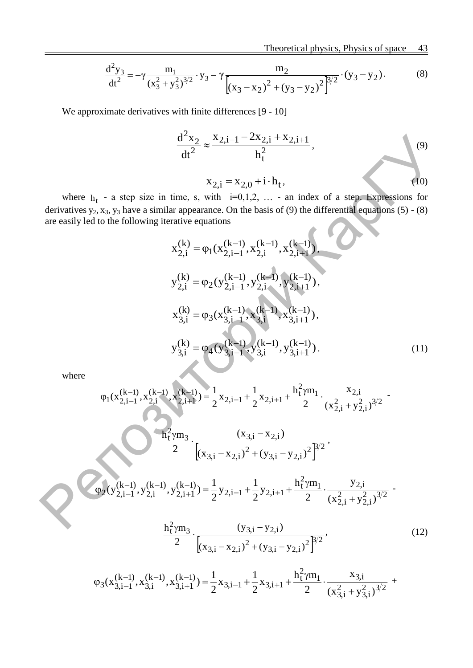$$
\frac{d^2 y_3}{dt^2} = -\gamma \frac{m_1}{(x_3^2 + y_3^2)^{3/2}} \cdot y_3 - \gamma \frac{m_2}{[(x_3 - x_2)^2 + (y_3 - y_2)^2]^{3/2}} \cdot (y_3 - y_2). \tag{8}
$$

We approximate derivatives with finite differences [9 - 10]

$$
\frac{d^2x_2}{dt^2} \approx \frac{x_{2,i-1} - 2x_{2,i} + x_{2,i+1}}{h_t^2},
$$
  

$$
x_{2,i} = x_{2,0} + i \cdot h_t,
$$
 (9)

where  $h_t$  - a step size in time, s, with  $i=0,1,2, \ldots$  - an index of a step. Expressions for derivatives  $y_2$ ,  $x_3$ ,  $y_3$  have a similar appearance. On the basis of (9) the differential equations (5) - (8) are easily led to the following iterative equations

$$
x_{2,i}^{(k)} = \varphi_1(x_{2,i-1}^{(k-1)}, x_{2,i}^{(k-1)}, x_{2,i+1}^{(k-1)}),
$$
  
\n
$$
y_{2,i}^{(k)} = \varphi_2(y_{2,i-1}^{(k-1)}, y_{2,i}^{(k-1)}, y_{2,i+1}^{(k-1)}),
$$
  
\n
$$
x_{3,i}^{(k)} = \varphi_3(x_{3,i-1}^{(k-1)}, x_{3,i}^{(k-1)}, x_{3,i+1}^{(k-1)}),
$$
  
\n
$$
y_{3,i}^{(k)} = \varphi_4(y_{3,i-1}^{(k-1)}, y_{3,i}^{(k-1)}, y_{3,i+1}^{(k-1)}).
$$
\n(11)

where

$$
\frac{d^2x_2}{dt^2} \approx \frac{x_{2,i-1} - 2x_{2,i} + x_{2,i+1}}{h_i^2},
$$
\nwhere  $h_t$  - a step size in time, s, with i=0,1,2,... - an index of a step. Expressions for  
\nderivatives  $y_2$ ,  $x_3$ ,  $y_3$  have a similar appearance. On the basis of (9) the differential equations (5) - (8)  
\nare easily led to the following iterative equations  
\n
$$
x_{2,i}^{(k)} = \varphi_1(x_{2,i-1}^{(k-1)}, x_{2,i}^{(k-1)}, x_{2,i+1}^{(k-1)}),
$$
\n
$$
y_{2,i}^{(k)} = \varphi_2(y_{2,i-1}^{(k-1)}, y_{2,i}^{(k-1)}, y_{2,i+1}^{(k-1)}),
$$
\n
$$
x_{3,i}^{(k)} = \varphi_3(x_{3,i-1}^{(k-1)}, x_{3,i}^{(k-1)}, x_{3,i+1}^{(k-1)}),
$$
\n
$$
y_{3,i}^{(k)} = \varphi_4(y_{3,i-1}^{(k-1)}, y_{3,i}^{(k-1)}, y_{3,i+1}^{(k-1)})
$$
\nwhere  
\n
$$
\varphi_1(x_{2,i-1}^{(k-1)}, x_{2,i}^{(k-1)}, x_{2,i+1}^{(k-1)}) = \frac{1}{2}x_{2,i-1} + \frac{1}{2}x_{2,i+1} + \frac{h_1^2 \gamma m_1}{2} \cdot \frac{x_{2,i}}{(x_{2,i}^2 + y_{2,i}^2)^{3/2}} - \frac{h_1^2 \gamma m_3}{2} \cdot \frac{(x_{3,i} - x_{2,i})^2 + (y_{3,i} - y_{2,i})^2}{(x_{3,i} - x_{2,i})^2 + (y_{3,i} - y_{2,i})^2} = \frac{h_1^2 \gamma m_3}{2} \cdot \frac{(y_{3,i} - y_{2,i})}{(x_{3,i-1}^2, y_{2,i}^2)^{3/2}} - \frac{h_1^2 \gamma m_3}{2} \cdot \frac{(y_{3,i} - y_{2,i})}{(x_{3,i} - x_{2,i})^2 + (y_{3,i} - y_{2,i})^2} = \frac{h_1^2 \gamma m_3}{2} \cdot \frac{(y_{
$$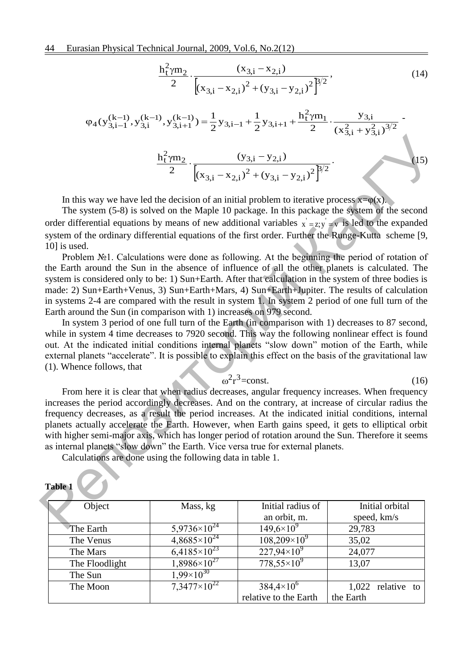44 Eurasian Physical Technical Journal, 2009, Vol.6, No.2(12)

$$
\frac{h_1^2 \gamma m_2}{2} \cdot \frac{(x_{3,i} - x_{2,i})}{[(x_{3,i} - x_{2,i})^2 + (y_{3,i} - y_{2,i})^2]^{\beta/2}},
$$
\n(14)

$$
\varphi_4(y_{3,i-1}^{(k-1)}, y_{3,i}^{(k-1)}, y_{3,i+1}^{(k-1)}) = \frac{1}{2}y_{3,i-1} + \frac{1}{2}y_{3,i+1} + \frac{h_t^2 \gamma m_1}{2} \cdot \frac{y_{3,i}}{(x_{3,i}^2 + y_{3,i}^2)^{3/2}} - \frac{h_t^2 \gamma m_2}{2} \cdot \frac{(y_{3,i} - y_{2,i})}{[(x_{3,i} - x_{2,i})^2 + (y_{3,i} - y_{2,i})^2]^{3/2}}.
$$
\n(15)

In this way we have led the decision of an initial problem to iterative process  $x=φ(x)$ .

The system (5-8) is solved on the Maple 10 package. In this package the system of the second order differential equations by means of new additional variables  $x' = z$ ;  $y' = v$  is led to the expanded system of the ordinary differential equations of the first order. Further the Runge-Kutta scheme [9, 10] is used.

Problem №1. Calculations were done as following. At the beginning the period of rotation of the Earth around the Sun in the absence of influence of all the other planets is calculated. The system is considered only to be: 1) Sun+Earth. After that calculation in the system of three bodies is made: 2) Sun+Earth+Venus, 3) Sun+Earth+Mars, 4) Sun+Earth+Jupiter. The results of calculation in systems 2-4 are compared with the result in system 1. In system 2 period of one full turn of the Earth around the Sun (in comparison with 1) increases on 979 second.

In system 3 period of one full turn of the Earth (in comparison with 1) decreases to 87 second, while in system 4 time decreases to 7920 second. This way the following nonlinear effect is found out. At the indicated initial conditions internal planets "slow down" motion of the Earth, while external planets "accelerate". It is possible to explain this effect on the basis of the gravitational law (1). Whence follows, that

$$
\omega^2 r^3 = \text{const.}\tag{16}
$$

From here it is clear that when radius decreases, angular frequency increases. When frequency increases the period accordingly decreases. And on the contrary, at increase of circular radius the frequency decreases, as a result the period increases. At the indicated initial conditions, internal planets actually accelerate the Earth. However, when Earth gains speed, it gets to elliptical orbit with higher semi-major axis, which has longer period of rotation around the Sun. Therefore it seems as internal planets "slow down" the Earth. Vice versa true for external planets. <sup>12</sup><sup>γm<sub>3</sub> ( $\frac{1}{2}$ γm<sub>3</sub> ( $\frac{1}{2}$  ( $\frac{1}{2}$  ( $\frac{1}{2}$  ( $\frac{1}{2}$  ( $\frac{1}{2}$  ( $\frac{1}{2}$  ( $\frac{1}{2}$  ( $\frac{1}{2}$  ( $\frac{1}{2}$  ( $\frac{1}{2}$  ( $\frac{1}{2}$  ( $\frac{1}{2}$  ( $\frac{1}{2}$  ( $\frac{1}{2}$  ( $\frac{1}{2}$  ( $\frac{1}{2}$  ( $\frac{1}{2}$  ( $\frac{1$ 

Calculations are done using the following data in table 1.

| Tadie 1        |                       |                       |                     |
|----------------|-----------------------|-----------------------|---------------------|
| Object         | Mass, kg              | Initial radius of     | Initial orbital     |
|                |                       | an orbit, m.          | speed, km/s         |
| The Earth      | $5,9736\times10^{24}$ | $149,6\times10^{9}$   | 29,783              |
| The Venus      | $4,8685\times10^{24}$ | $108,209\times10^{9}$ | 35,02               |
| The Mars       | $6,4185\times10^{23}$ | $227,94\times10^{9}$  | 24,077              |
| The Floodlight | $1,8986\times10^{27}$ | $778,55\times10^{9}$  | 13,07               |
| The Sun        | $1.99\times10^{30}$   |                       |                     |
| The Moon       | $7.3477\times10^{22}$ | $384,4\times10^{6}$   | $1,022$ relative to |
|                |                       | relative to the Earth | the Earth           |

**Table 1**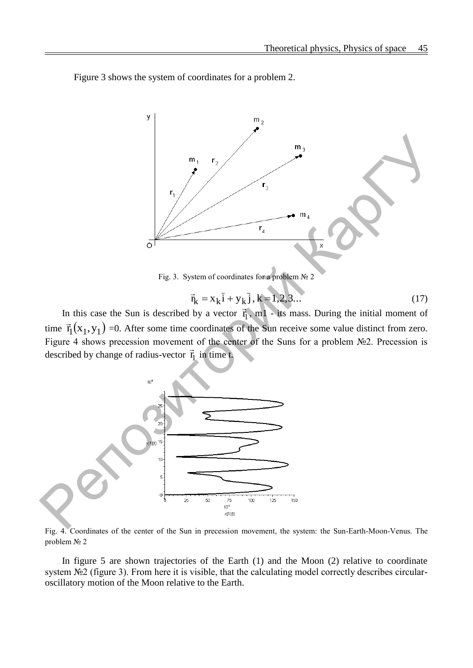Figure 3 shows the system of coordinates for a problem 2.



Fig. 3. System of coordinates for a problem  $\mathcal{N}_2$  2

$$
\vec{r}_{k} = x_{k}\vec{i} + y_{k}\vec{j}, k = 1, 2, 3...
$$
 (17)

In this case the Sun is described by a vector  $\vec{r}_1$ , m1 - its mass. During the initial moment of time  $\vec{r}_1(x_1, y_1)$  =  $\rightarrow$  =0. After some time coordinates of the Sun receive some value distinct from zero. Figure 4 shows precession movement of the center of the Suns for a problem №2. Precession is described by change of radius-vector  $\vec{r}_1$  in time t.



Fig. 4. Coordinates of the center of the Sun in precession movement, the system: the Sun-Earth-Moon-Venus. The problem № 2

In figure 5 are shown trajectories of the Earth (1) and the Moon (2) relative to coordinate system №2 (figure 3). From here it is visible, that the calculating model correctly describes circularoscillatory motion of the Moon relative to the Earth.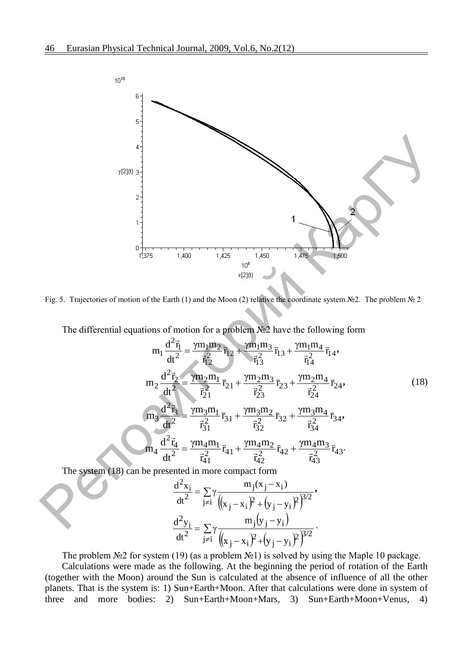![](_page_5_Figure_1.jpeg)

Fig. 5. Trajectories of motion of the Earth (1) and the Moon (2) relative the coordinate system №2. The problem № 2

The differential equations of motion for a problem №2 have the following form

$$
m_{1} \frac{d^{2} \vec{r}_{1}}{dt^{2}} = \frac{\gamma m_{1} m_{2}}{\vec{r}_{12}^{2}} \vec{r}_{12} + \frac{\gamma m_{1} m_{3}}{\vec{r}_{13}^{2}} \vec{r}_{13} + \frac{\gamma m_{1} m_{4}}{\vec{r}_{14}^{2}} \vec{r}_{14},
$$
\n
$$
m_{2} \frac{d^{2} \vec{r}_{2}}{dt^{2}} = \frac{\gamma m_{2} m_{1}}{\vec{r}_{21}^{2}} \vec{r}_{21} + \frac{\gamma m_{2} m_{3}}{\vec{r}_{23}^{2}} \vec{r}_{23} + \frac{\gamma m_{2} m_{4}}{\vec{r}_{24}^{2}} \vec{r}_{24},
$$
\n
$$
m_{3} \frac{d^{2} \vec{r}_{3}}{dt^{2}} = \frac{\gamma m_{3} m_{1}}{\vec{r}_{31}^{2}} \vec{r}_{31} + \frac{\gamma m_{3} m_{2}}{\vec{r}_{32}^{2}} \vec{r}_{32} + \frac{\gamma m_{3} m_{4}}{\vec{r}_{34}^{2}} \vec{r}_{34},
$$
\n
$$
m_{4} \frac{d^{2} \vec{r}_{4}}{dt^{2}} = \frac{\gamma m_{4} m_{1}}{\vec{r}_{41}^{2}} \vec{r}_{41} + \frac{\gamma m_{4} m_{2}}{\vec{r}_{42}^{2}} \vec{r}_{42} + \frac{\gamma m_{4} m_{3}}{\vec{r}_{43}^{2}} \vec{r}_{43}.
$$
\n(18)

The system (18) can be presented in more compact form

eented in more compact form  
\n
$$
\frac{d^2x_i}{dt^2} = \sum_{j\neq i} \gamma \frac{m_j(x_j - x_i)}{((x_j - x_i)^2 + (y_j - y_i)^2)^{3/2}},
$$
\n
$$
\frac{d^2y_i}{dt^2} = \sum_{j\neq i} \gamma \frac{m_j(y_j - y_i)}{((x_j - x_i)^2 + (y_j - y_i)^2)^{3/2}}.
$$

The problem  $\mathcal{N}_2$  for system (19) (as a problem  $\mathcal{N}_2$ ) is solved by using the Maple 10 package.

Calculations were made as the following. At the beginning the period of rotation of the Earth (together with the Moon) around the Sun is calculated at the absence of influence of all the other planets. That is the system is: 1) Sun+Earth+Moon. After that calculations were done in system of three and more bodies: 2) Sun+Earth+Moon+Mars, 3) Sun+Earth+Moon+Venus, 4)